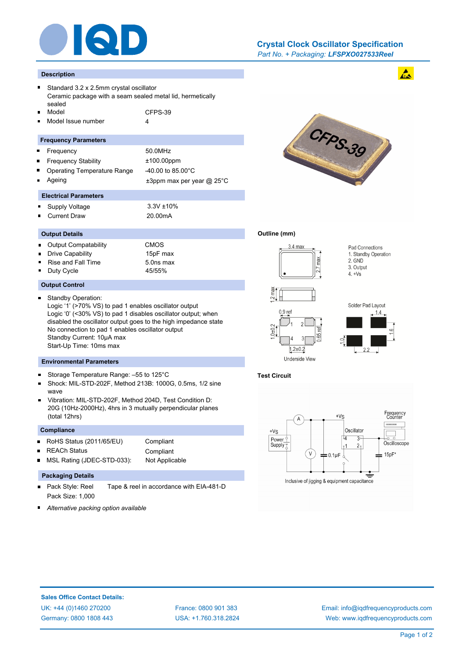

## *Part No. + Packaging: LFSPXO027533Reel* **Crystal Clock Oscillator Specification**

#### **Description**

- Standard 3.2 x 2.5mm crystal oscillator Ceramic package with a seam sealed metal lid, hermetically sealed Model CFPS-39
- Model Issue number 4

#### **Frequency Parameters**

- Frequency 50.0MHz
- Frequency Stability ±100.00ppm
- Operating Temperature Range -40.00 to 85.00°C
- 
- Ageing the theory of the three states are three types are  $\pm 3$ ppm max per year @ 25°C

## **Electrical Parameters**

- Supply Voltage 3.3V ±10% i.
- Current Draw 20.00mA

### **Output Details**

 $\blacksquare$ 

- Output Compatability CMOS
- Drive Capability 15pF max
- Rise and Fall Time 5.0ns max
- Duty Cycle 45/55%

## **Output Control**

 $\blacksquare$ Standby Operation: Logic '1' (>70% VS) to pad 1 enables oscillator output Logic '0' (<30% VS) to pad 1 disables oscillator output; when disabled the oscillator output goes to the high impedance state No connection to pad 1 enables oscillator output Standby Current: 10μA max Start-Up Time: 10ms max

### **Environmental Parameters**

- $\blacksquare$ Storage Temperature Range: –55 to 125°C
- Shock: MIL-STD-202F, Method 213B: 1000G, 0.5ms, 1/2 sine wave
- Vibration: MIL-STD-202F, Method 204D, Test Condition D: n 20G (10Hz-2000Hz), 4hrs in 3 mutually perpendicular planes (total 12hrs)

#### **Compliance**

- RoHS Status (2011/65/EU) Compliant  $\blacksquare$
- REACh Status **Compliant**  $\blacksquare$ 
	-
	- MSL Rating (JDEC-STD-033): Not Applicable

# **Packaging Details**

- Pack Style: Reel Tape & reel in accordance with EIA-481-D  $\blacksquare$ Pack Size: 1,000
- *Alternative packing option available*



### **Outline (mm)**



Pad Connections 1. Standby Operation 2. GND 3. Output  $4. +Vs$ 

 $\mathbf{A}$ 





## **Test Circuit**



Inclusive of jigging & equipment capacitance

## **Sales Office Contact Details:**

UK: +44 (0)1460 270200 France: 0800 901 383 Germany: 0800 1808 443

USA: +1.760.318.2824

Email: info@iqdfrequencyproducts.com Web: www.iqdfrequencyproducts.com